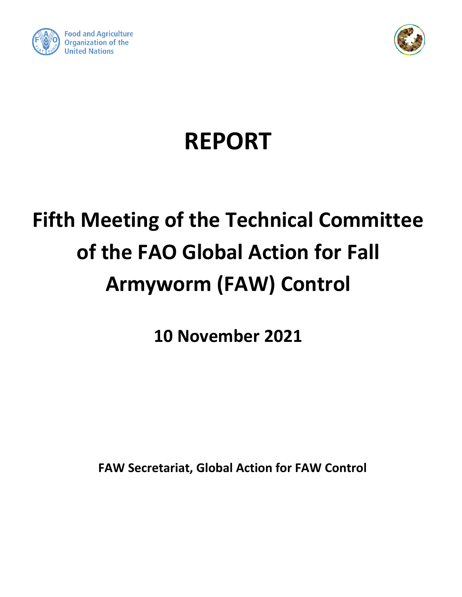



# **REPORT**

## **Fifth Meeting of the Technical Committee of the FAO Global Action for Fall Armyworm (FAW) Control**

**10 November 2021**

**FAW Secretariat, Global Action for FAW Control**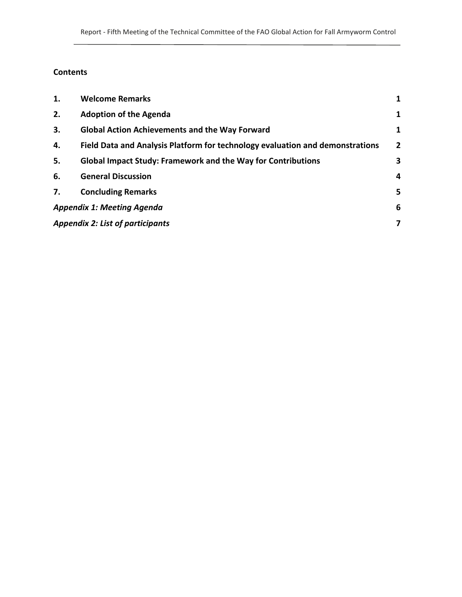### **Contents**

| 1.                                      | <b>Welcome Remarks</b>                                                        | 1              |
|-----------------------------------------|-------------------------------------------------------------------------------|----------------|
| 2.                                      | <b>Adoption of the Agenda</b>                                                 | 1              |
| 3.                                      | <b>Global Action Achievements and the Way Forward</b>                         | 1              |
| 4.                                      | Field Data and Analysis Platform for technology evaluation and demonstrations | $\overline{2}$ |
| 5.                                      | <b>Global Impact Study: Framework and the Way for Contributions</b>           | 3              |
| 6.                                      | <b>General Discussion</b>                                                     | 4              |
| 7.                                      | <b>Concluding Remarks</b>                                                     | 5              |
|                                         | <b>Appendix 1: Meeting Agenda</b>                                             | 6              |
| <b>Appendix 2: List of participants</b> |                                                                               | 7              |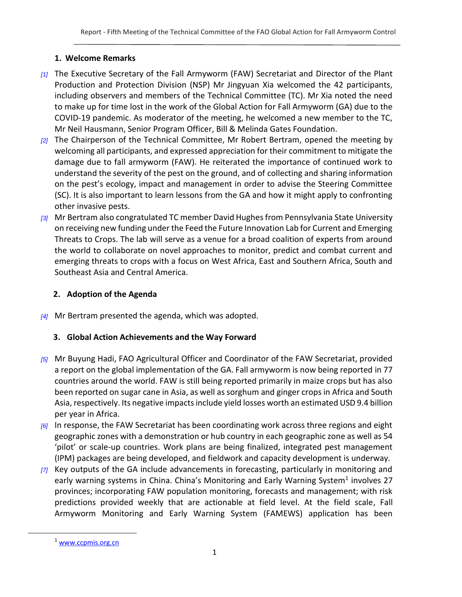#### **1. Welcome Remarks**

- <span id="page-2-0"></span>*[1]* The Executive Secretary of the Fall Armyworm (FAW) Secretariat and Director of the Plant Production and Protection Division (NSP) Mr Jingyuan Xia welcomed the 42 participants, including observers and members of the Technical Committee (TC). Mr Xia noted the need to make up for time lost in the work of the Global Action for Fall Armyworm (GA) due to the COVID-19 pandemic. As moderator of the meeting, he welcomed a new member to the TC, Mr Neil Hausmann, Senior Program Officer, Bill & Melinda Gates Foundation.
- *[2]* The Chairperson of the Technical Committee, Mr Robert Bertram, opened the meeting by welcoming all participants, and expressed appreciation for their commitment to mitigate the damage due to fall armyworm (FAW). He reiterated the importance of continued work to understand the severity of the pest on the ground, and of collecting and sharing information on the pest's ecology, impact and management in order to advise the Steering Committee (SC). It is also important to learn lessons from the GA and how it might apply to confronting other invasive pests.
- *[3]* Mr Bertram also congratulated TC member David Hughes from Pennsylvania State University on receiving new funding under the Feed the Future Innovation Lab for Current and Emerging Threats to Crops. The lab will serve as a venue for a broad coalition of experts from around the world to collaborate on novel approaches to monitor, predict and combat current and emerging threats to crops with a focus on West Africa, East and Southern Africa, South and Southeast Asia and Central America.

#### <span id="page-2-1"></span>**2. Adoption of the Agenda**

<span id="page-2-2"></span>*[4]* Mr Bertram presented the agenda, which was adopted.

#### **3. Global Action Achievements and the Way Forward**

- *[5]* Mr Buyung Hadi, FAO Agricultural Officer and Coordinator of the FAW Secretariat, provided a report on the global implementation of the GA. Fall armyworm is now being reported in 77 countries around the world. FAW is still being reported primarily in maize crops but has also been reported on sugar cane in Asia, as well as sorghum and ginger crops in Africa and South Asia, respectively. Its negative impacts include yield losses worth an estimated USD 9.4 billion per year in Africa.
- *[6]* In response, the FAW Secretariat has been coordinating work across three regions and eight geographic zones with a demonstration or hub country in each geographic zone as well as 54 'pilot' or scale-up countries. Work plans are being finalized, integrated pest management (IPM) packages are being developed, and fieldwork and capacity development is underway.
- *[7]* Key outputs of the GA include advancements in forecasting, particularly in monitoring and early warning systems in China. China's Monitoring and Early Warning System<sup>1</sup> involves 27 provinces; incorporating FAW population monitoring, forecasts and management; with risk predictions provided weekly that are actionable at field level. At the field scale, Fall Armyworm Monitoring and Early Warning System (FAMEWS) application has been

 $\overline{a}$ 

<sup>&</sup>lt;sup>1</sup> [www.ccpmis.org.cn](http://www.ccpmis.org.cn/)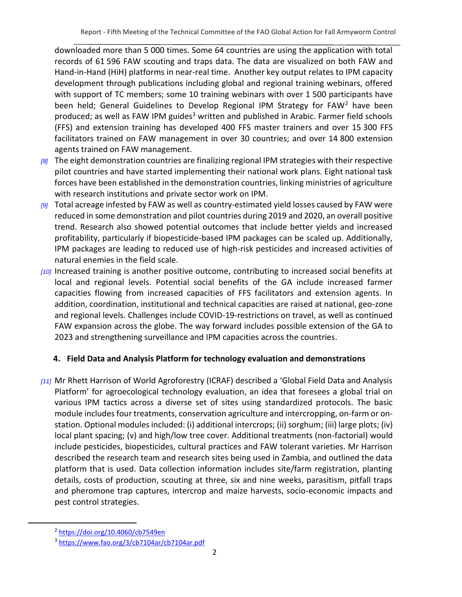downloaded more than 5 000 times. Some 64 countries are using the application with total records of 61 596 FAW scouting and traps data. The data are visualized on both FAW and Hand-in-Hand (HiH) platforms in near-real time. Another key output relates to IPM capacity development through publications including global and regional training webinars, offered with support of TC members; some 10 training webinars with over 1 500 participants have been held; General Guidelines to Develop Regional IPM Strategy for FAW<sup>2</sup> have been produced; as well as FAW IPM guides<sup>3</sup> written and published in Arabic. Farmer field schools (FFS) and extension training has developed 400 FFS master trainers and over 15 300 FFS facilitators trained on FAW management in over 30 countries; and over 14 800 extension agents trained on FAW management.

- *[8]* The eight demonstration countries are finalizing regional IPM strategies with their respective pilot countries and have started implementing their national work plans. Eight national task forces have been established in the demonstration countries, linking ministries of agriculture with research institutions and private sector work on IPM.
- *[9]* Total acreage infested by FAW as well as country-estimated yield losses caused by FAW were reduced in some demonstration and pilot countries during 2019 and 2020, an overall positive trend. Research also showed potential outcomes that include better yields and increased profitability, particularly if biopesticide-based IPM packages can be scaled up. Additionally, IPM packages are leading to reduced use of high-risk pesticides and increased activities of natural enemies in the field scale.
- *[10]* Increased training is another positive outcome, contributing to increased social benefits at local and regional levels. Potential social benefits of the GA include increased farmer capacities flowing from increased capacities of FFS facilitators and extension agents. In addition, coordination, institutional and technical capacities are raised at national, geo-zone and regional levels. Challenges include COVID-19-restrictions on travel, as well as continued FAW expansion across the globe. The way forward includes possible extension of the GA to 2023 and strengthening surveillance and IPM capacities across the countries.

#### <span id="page-3-0"></span>**4. Field Data and Analysis Platform for technology evaluation and demonstrations**

*[11]* Mr Rhett Harrison of World Agroforestry (ICRAF) described a 'Global Field Data and Analysis Platform' for agroecological technology evaluation, an idea that foresees a global trial on various IPM tactics across a diverse set of sites using standardized protocols. The basic module includes four treatments, conservation agriculture and intercropping, on-farm or onstation. Optional modules included: (i) additional intercrops; (ii) sorghum; (iii) large plots; (iv) local plant spacing; (v) and high/low tree cover. Additional treatments (non-factorial) would include pesticides, biopesticides, cultural practices and FAW tolerant varieties. Mr Harrison described the research team and research sites being used in Zambia, and outlined the data platform that is used. Data collection information includes site/farm registration, planting details, costs of production, scouting at three, six and nine weeks, parasitism, pitfall traps and pheromone trap captures, intercrop and maize harvests, socio-economic impacts and pest control strategies.

 $\overline{a}$ 

<sup>2</sup> <https://doi.org/10.4060/cb7549en>

<sup>3</sup> <https://www.fao.org/3/cb7104ar/cb7104ar.pdf>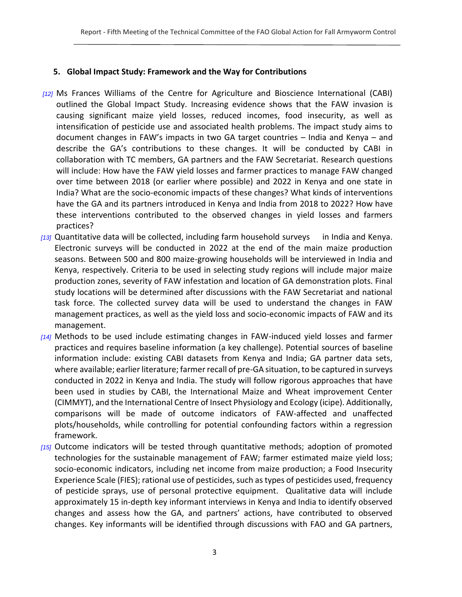#### <span id="page-4-0"></span>**5. Global Impact Study: Framework and the Way for Contributions**

- *[12]* Ms Frances Williams of the Centre for Agriculture and Bioscience International (CABI) outlined the Global Impact Study. Increasing evidence shows that the FAW invasion is causing significant maize yield losses, reduced incomes, food insecurity, as well as intensification of pesticide use and associated health problems. The impact study aims to document changes in FAW's impacts in two GA target countries – India and Kenya – and describe the GA's contributions to these changes. It will be conducted by CABI in collaboration with TC members, GA partners and the FAW Secretariat. Research questions will include: How have the FAW yield losses and farmer practices to manage FAW changed over time between 2018 (or earlier where possible) and 2022 in Kenya and one state in India? What are the socio-economic impacts of these changes? What kinds of interventions have the GA and its partners introduced in Kenya and India from 2018 to 2022? How have these interventions contributed to the observed changes in yield losses and farmers practices?
- *[13]* Quantitative data will be collected, including farm household surveys in India and Kenya. Electronic surveys will be conducted in 2022 at the end of the main maize production seasons. Between 500 and 800 maize-growing households will be interviewed in India and Kenya, respectively. Criteria to be used in selecting study regions will include major maize production zones, severity of FAW infestation and location of GA demonstration plots. Final study locations will be determined after discussions with the FAW Secretariat and national task force. The collected survey data will be used to understand the changes in FAW management practices, as well as the yield loss and socio-economic impacts of FAW and its management.
- *[14]* Methods to be used include estimating changes in FAW-induced yield losses and farmer practices and requires baseline information (a key challenge). Potential sources of baseline information include: existing CABI datasets from Kenya and India; GA partner data sets, where available; earlier literature; farmer recall of pre-GA situation, to be captured in surveys conducted in 2022 in Kenya and India. The study will follow rigorous approaches that have been used in studies by CABI, the International Maize and Wheat improvement Center (CIMMYT), and the International Centre of Insect Physiology and Ecology (icipe). Additionally, comparisons will be made of outcome indicators of FAW-affected and unaffected plots/households, while controlling for potential confounding factors within a regression framework.
- *[15]* Outcome indicators will be tested through quantitative methods; adoption of promoted technologies for the sustainable management of FAW; farmer estimated maize yield loss; socio-economic indicators, including net income from maize production; a Food Insecurity Experience Scale (FIES); rational use of pesticides, such as types of pesticides used, frequency of pesticide sprays, use of personal protective equipment. Qualitative data will include approximately 15 in-depth key informant interviews in Kenya and India to identify observed changes and assess how the GA, and partners' actions, have contributed to observed changes. Key informants will be identified through discussions with FAO and GA partners,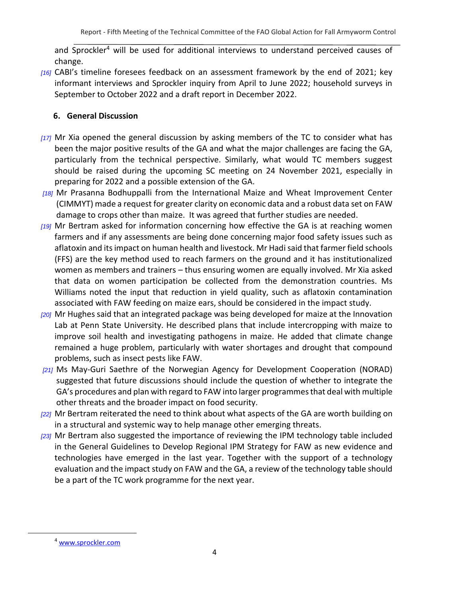and Sprockler<sup>4</sup> will be used for additional interviews to understand perceived causes of change.

*[16]* CABI's timeline foresees feedback on an assessment framework by the end of 2021; key informant interviews and Sprockler inquiry from April to June 2022; household surveys in September to October 2022 and a draft report in December 2022.

#### <span id="page-5-0"></span>**6. General Discussion**

- *[17]* Mr Xia opened the general discussion by asking members of the TC to consider what has been the major positive results of the GA and what the major challenges are facing the GA, particularly from the technical perspective. Similarly, what would TC members suggest should be raised during the upcoming SC meeting on 24 November 2021, especially in preparing for 2022 and a possible extension of the GA.
- *[18]* Mr Prasanna Bodhuppalli from the International Maize and Wheat Improvement Center (CIMMYT) made a request for greater clarity on economic data and a robust data set on FAW damage to crops other than maize. It was agreed that further studies are needed.
- *[19]* Mr Bertram asked for information concerning how effective the GA is at reaching women farmers and if any assessments are being done concerning major food safety issues such as aflatoxin and its impact on human health and livestock. Mr Hadi said that farmer field schools (FFS) are the key method used to reach farmers on the ground and it has institutionalized women as members and trainers – thus ensuring women are equally involved. Mr Xia asked that data on women participation be collected from the demonstration countries. Ms Williams noted the input that reduction in yield quality, such as aflatoxin contamination associated with FAW feeding on maize ears, should be considered in the impact study.
- *[20]* Mr Hughes said that an integrated package was being developed for maize at the Innovation Lab at Penn State University. He described plans that include intercropping with maize to improve soil health and investigating pathogens in maize. He added that climate change remained a huge problem, particularly with water shortages and drought that compound problems, such as insect pests like FAW.
- *[21]* Ms May-Guri Saethre of the Norwegian Agency for Development Cooperation (NORAD) suggested that future discussions should include the question of whether to integrate the GA's procedures and plan with regard to FAW into larger programmes that deal with multiple other threats and the broader impact on food security.
- *[22]* Mr Bertram reiterated the need to think about what aspects of the GA are worth building on in a structural and systemic way to help manage other emerging threats.
- *[23]* Mr Bertram also suggested the importance of reviewing the IPM technology table included in the General Guidelines to Develop Regional IPM Strategy for FAW as new evidence and technologies have emerged in the last year. Together with the support of a technology evaluation and the impact study on FAW and the GA, a review of the technology table should be a part of the TC work programme for the next year.

 $\overline{a}$ 

<sup>4</sup> [www.sprockler.com](http://www.sprockler.com/)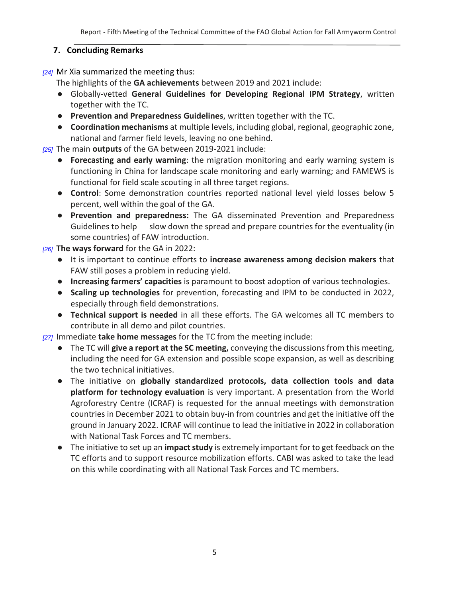#### <span id="page-6-0"></span>**7. Concluding Remarks**

*[24]* Mr Xia summarized the meeting thus:

The highlights of the **GA achievements** between 2019 and 2021 include:

- Globally-vetted **General Guidelines for Developing Regional IPM Strategy**, written together with the TC.
- **Prevention and Preparedness Guidelines**, written together with the TC.
- **Coordination mechanisms** at multiple levels, including global, regional, geographic zone, national and farmer field levels, leaving no one behind.

*[25]* The main **outputs** of the GA between 2019-2021 include:

- **Forecasting and early warning**: the migration monitoring and early warning system is functioning in China for landscape scale monitoring and early warning; and FAMEWS is functional for field scale scouting in all three target regions.
- **Control**: Some demonstration countries reported national level yield losses below 5 percent, well within the goal of the GA.
- **Prevention and preparedness:** The GA disseminated Prevention and Preparedness Guidelines to help slow down the spread and prepare countries for the eventuality (in some countries) of FAW introduction.

*[26]* **The ways forward** for the GA in 2022:

- It is important to continue efforts to **increase awareness among decision makers** that FAW still poses a problem in reducing yield.
- **Increasing farmers' capacities** is paramount to boost adoption of various technologies.
- **Scaling up technologies** for prevention, forecasting and IPM to be conducted in 2022, especially through field demonstrations.
- **Technical support is needed** in all these efforts. The GA welcomes all TC members to contribute in all demo and pilot countries.

*[27]* Immediate **take home messages** for the TC from the meeting include:

- The TC will **give a report at the SC meeting,** conveying the discussions from this meeting, including the need for GA extension and possible scope expansion, as well as describing the two technical initiatives.
- The initiative on **globally standardized protocols, data collection tools and data platform for technology evaluation** is very important. A presentation from the World Agroforestry Centre (ICRAF) is requested for the annual meetings with demonstration countries in December 2021 to obtain buy-in from countries and get the initiative off the ground in January 2022. ICRAF will continue to lead the initiative in 2022 in collaboration with National Task Forces and TC members.
- The initiative to set up an **impact study** is extremely important for to get feedback on the TC efforts and to support resource mobilization efforts. CABI was asked to take the lead on this while coordinating with all National Task Forces and TC members.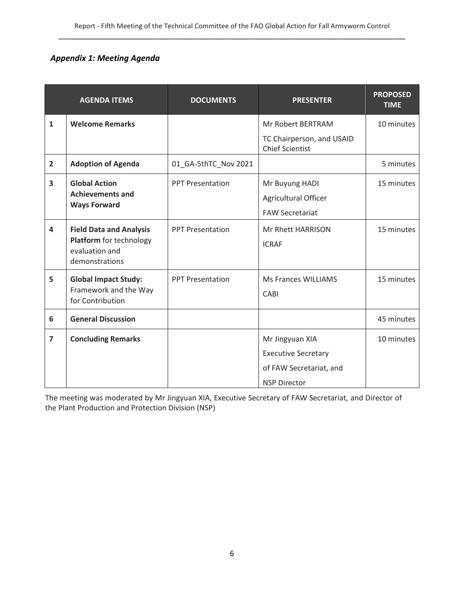#### <span id="page-7-0"></span>*Appendix 1: Meeting Agenda*

|                         | <b>AGENDA ITEMS</b>                                                                           | <b>DOCUMENTS</b>        | <b>PRESENTER</b>                                                                                | <b>PROPOSED</b><br><b>TIME</b> |
|-------------------------|-----------------------------------------------------------------------------------------------|-------------------------|-------------------------------------------------------------------------------------------------|--------------------------------|
| $\mathbf{1}$            | <b>Welcome Remarks</b>                                                                        |                         | Mr Robert BERTRAM                                                                               | 10 minutes                     |
|                         |                                                                                               |                         | TC Chairperson, and USAID<br><b>Chief Scientist</b>                                             |                                |
| $\overline{2}$          | <b>Adoption of Agenda</b>                                                                     | 01_GA-5thTC_Nov 2021    |                                                                                                 | 5 minutes                      |
| $\overline{\mathbf{3}}$ | <b>Global Action</b><br><b>Achievements and</b>                                               | <b>PPT Presentation</b> | Mr Buyung HADI<br>Agricultural Officer                                                          | 15 minutes                     |
|                         | <b>Ways Forward</b>                                                                           |                         | <b>FAW Secretariat</b>                                                                          |                                |
| $\overline{\mathbf{4}}$ | <b>Field Data and Analysis</b><br>Platform for technology<br>evaluation and<br>demonstrations | <b>PPT Presentation</b> | Mr Rhett HARRISON<br><b>ICRAF</b>                                                               | 15 minutes                     |
| 5                       | <b>Global Impact Study:</b><br>Framework and the Way<br>for Contribution                      | <b>PPT Presentation</b> | <b>Ms Frances WILLIAMS</b><br>CABI                                                              | 15 minutes                     |
| 6                       | <b>General Discussion</b>                                                                     |                         |                                                                                                 | 45 minutes                     |
| $\overline{7}$          | <b>Concluding Remarks</b>                                                                     |                         | Mr Jingyuan XIA<br><b>Executive Secretary</b><br>of FAW Secretariat, and<br><b>NSP Director</b> | 10 minutes                     |

The meeting was moderated by Mr Jingyuan XIA, Executive Secretary of FAW Secretariat, and Director of the Plant Production and Protection Division (NSP)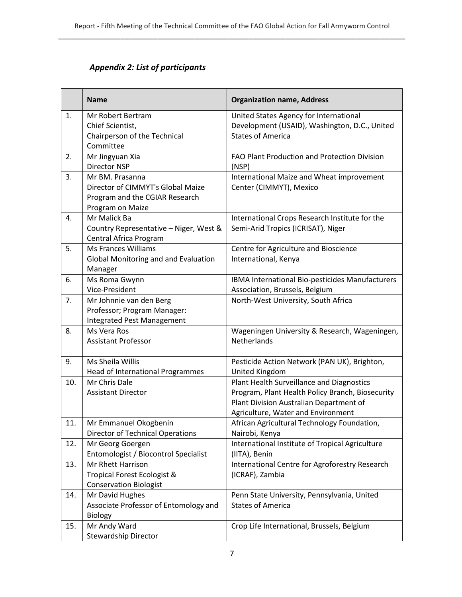### *Appendix 2: List of participants*

<span id="page-8-0"></span>

|     | <b>Name</b>                                                                                                | <b>Organization name, Address</b>                                                                                                                                              |
|-----|------------------------------------------------------------------------------------------------------------|--------------------------------------------------------------------------------------------------------------------------------------------------------------------------------|
| 1.  | Mr Robert Bertram<br>Chief Scientist,<br>Chairperson of the Technical                                      | United States Agency for International<br>Development (USAID), Washington, D.C., United<br><b>States of America</b>                                                            |
| 2.  | Committee<br>Mr Jingyuan Xia<br>Director NSP                                                               | FAO Plant Production and Protection Division<br>(NSP)                                                                                                                          |
| 3.  | Mr BM. Prasanna<br>Director of CIMMYT's Global Maize<br>Program and the CGIAR Research<br>Program on Maize | International Maize and Wheat improvement<br>Center (CIMMYT), Mexico                                                                                                           |
| 4.  | Mr Malick Ba<br>Country Representative - Niger, West &<br>Central Africa Program                           | International Crops Research Institute for the<br>Semi-Arid Tropics (ICRISAT), Niger                                                                                           |
| 5.  | <b>Ms Frances Williams</b><br><b>Global Monitoring and and Evaluation</b><br>Manager                       | Centre for Agriculture and Bioscience<br>International, Kenya                                                                                                                  |
| 6.  | Ms Roma Gwynn<br>Vice-President                                                                            | IBMA International Bio-pesticides Manufacturers<br>Association, Brussels, Belgium                                                                                              |
| 7.  | Mr Johnnie van den Berg<br>Professor; Program Manager:<br><b>Integrated Pest Management</b>                | North-West University, South Africa                                                                                                                                            |
| 8.  | Ms Vera Ros<br><b>Assistant Professor</b>                                                                  | Wageningen University & Research, Wageningen,<br>Netherlands                                                                                                                   |
| 9.  | Ms Sheila Willis<br><b>Head of International Programmes</b>                                                | Pesticide Action Network (PAN UK), Brighton,<br>United Kingdom                                                                                                                 |
| 10. | Mr Chris Dale<br><b>Assistant Director</b>                                                                 | Plant Health Surveillance and Diagnostics<br>Program, Plant Health Policy Branch, Biosecurity<br>Plant Division Australian Department of<br>Agriculture, Water and Environment |
| 11. | Mr Emmanuel Okogbenin<br><b>Director of Technical Operations</b>                                           | African Agricultural Technology Foundation,<br>Nairobi, Kenya                                                                                                                  |
| 12. | Mr Georg Goergen<br>Entomologist / Biocontrol Specialist                                                   | International Institute of Tropical Agriculture<br>(IITA), Benin                                                                                                               |
| 13. | <b>Mr Rhett Harrison</b><br>Tropical Forest Ecologist &<br><b>Conservation Biologist</b>                   | International Centre for Agroforestry Research<br>(ICRAF), Zambia                                                                                                              |
| 14. | Mr David Hughes<br>Associate Professor of Entomology and<br>Biology                                        | Penn State University, Pennsylvania, United<br><b>States of America</b>                                                                                                        |
| 15. | Mr Andy Ward<br><b>Stewardship Director</b>                                                                | Crop Life International, Brussels, Belgium                                                                                                                                     |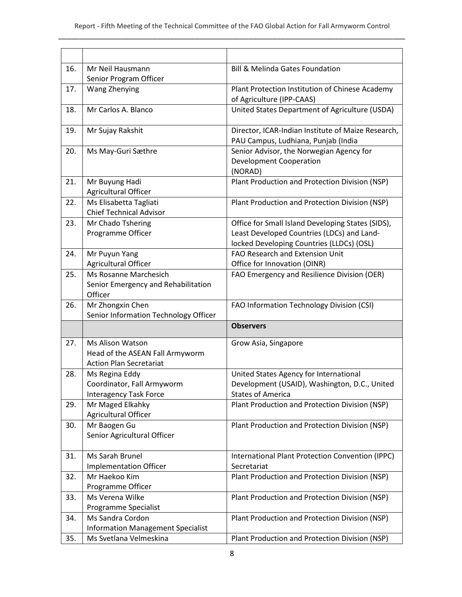| 16. | Mr Neil Hausmann                                                                             | <b>Bill &amp; Melinda Gates Foundation</b>                                                                                                   |
|-----|----------------------------------------------------------------------------------------------|----------------------------------------------------------------------------------------------------------------------------------------------|
|     | Senior Program Officer                                                                       |                                                                                                                                              |
| 17. | Wang Zhenying                                                                                | Plant Protection Institution of Chinese Academy<br>of Agriculture (IPP-CAAS)                                                                 |
| 18. | Mr Carlos A. Blanco                                                                          | United States Department of Agriculture (USDA)                                                                                               |
| 19. | Mr Sujay Rakshit                                                                             | Director, ICAR-Indian Institute of Maize Research,<br>PAU Campus, Ludhiana, Punjab (India                                                    |
| 20. | Ms May-Guri Sæthre                                                                           | Senior Advisor, the Norwegian Agency for<br><b>Development Cooperation</b><br>(NORAD)                                                        |
| 21. | Mr Buyung Hadi<br>Agricultural Officer                                                       | Plant Production and Protection Division (NSP)                                                                                               |
| 22. | Ms Elisabetta Tagliati<br><b>Chief Technical Advisor</b>                                     | Plant Production and Protection Division (NSP)                                                                                               |
| 23. | Mr Chado Tshering<br>Programme Officer                                                       | Office for Small Island Developing States (SIDS),<br>Least Developed Countries (LDCs) and Land-<br>locked Developing Countries (LLDCs) (OSL) |
| 24. | Mr Puyun Yang                                                                                | <b>FAO Research and Extension Unit</b>                                                                                                       |
|     | Agricultural Officer                                                                         | Office for Innovation (OINR)                                                                                                                 |
| 25. | Ms Rosanne Marchesich<br>Senior Emergency and Rehabilitation<br>Officer                      | FAO Emergency and Resilience Division (OER)                                                                                                  |
| 26. | Mr Zhongxin Chen                                                                             | FAO Information Technology Division (CSI)                                                                                                    |
|     | Senior Information Technology Officer                                                        |                                                                                                                                              |
|     |                                                                                              | <b>Observers</b>                                                                                                                             |
| 27. | <b>Ms Alison Watson</b><br>Head of the ASEAN Fall Armyworm<br><b>Action Plan Secretariat</b> | Grow Asia, Singapore                                                                                                                         |
| 28. | Ms Regina Eddy                                                                               | United States Agency for International                                                                                                       |
|     | Coordinator, Fall Armyworm                                                                   | Development (USAID), Washington, D.C., United                                                                                                |
|     | <b>Interagency Task Force</b>                                                                | <b>States of America</b>                                                                                                                     |
| 29. | Mr Maged Elkahky<br>Agricultural Officer                                                     | Plant Production and Protection Division (NSP)                                                                                               |
| 30. | Mr Baogen Gu<br>Senior Agricultural Officer                                                  | Plant Production and Protection Division (NSP)                                                                                               |
| 31. | Ms Sarah Brunel                                                                              | International Plant Protection Convention (IPPC)                                                                                             |
|     | <b>Implementation Officer</b>                                                                | Secretariat                                                                                                                                  |
| 32. | Mr Haekoo Kim                                                                                | Plant Production and Protection Division (NSP)                                                                                               |
|     | Programme Officer                                                                            |                                                                                                                                              |
|     |                                                                                              |                                                                                                                                              |
| 33. | Ms Verena Wilke                                                                              | Plant Production and Protection Division (NSP)                                                                                               |
|     | Programme Specialist                                                                         |                                                                                                                                              |
| 34. | Ms Sandra Cordon                                                                             | Plant Production and Protection Division (NSP)                                                                                               |
| 35. | <b>Information Management Specialist</b><br>Ms Svetlana Velmeskina                           | Plant Production and Protection Division (NSP)                                                                                               |